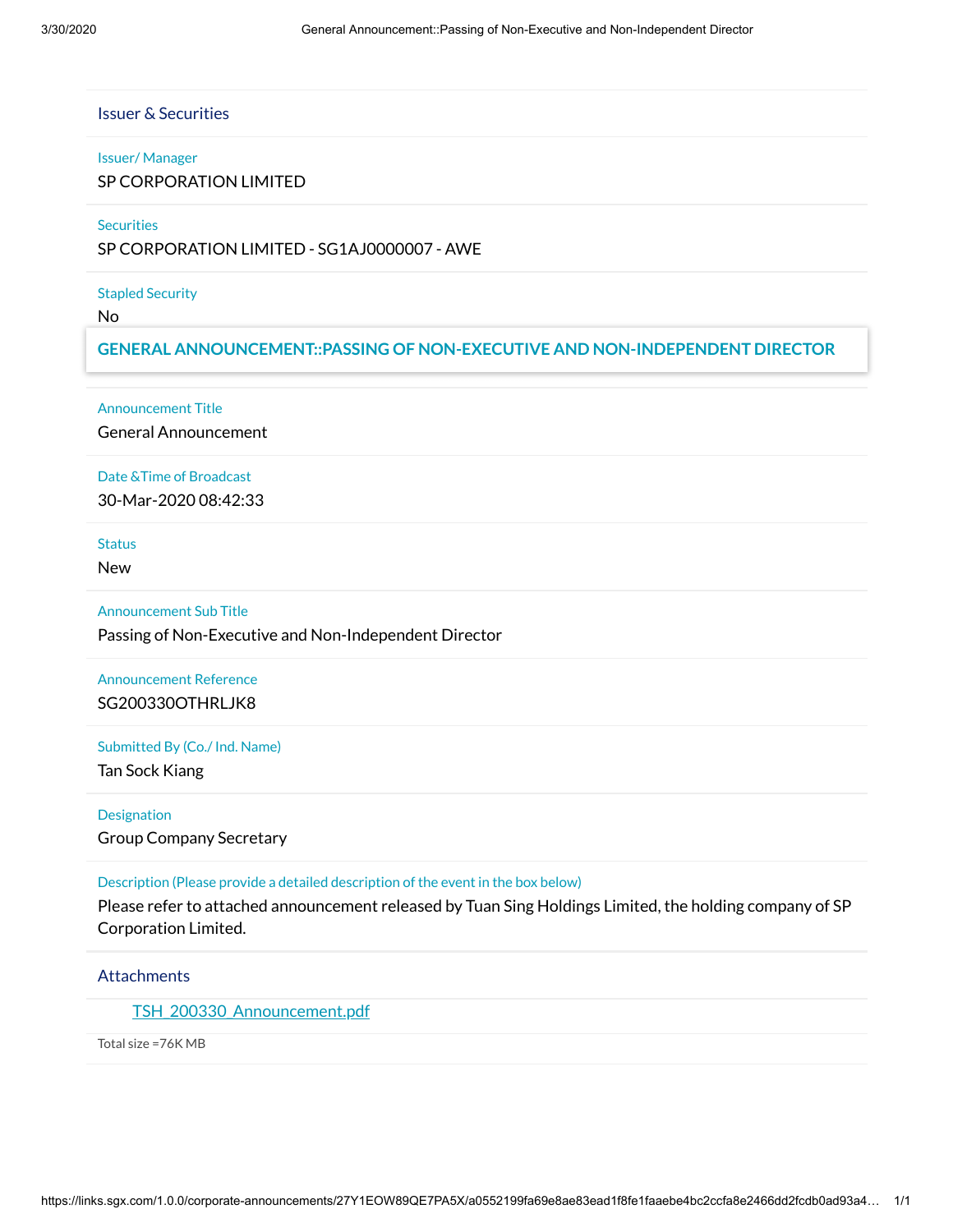Issuer & Securities

#### Issuer/ Manager

SP CORPORATION LIMITED

### **Securities**

SP CORPORATION LIMITED - SG1AJ0000007 - AWE

### Stapled Security

No

## **GENERAL ANNOUNCEMENT::PASSING OF NON-EXECUTIVE AND NON-INDEPENDENT DIRECTOR**

### Announcement Title

General Announcement

### Date &Time of Broadcast

30-Mar-2020 08:42:33

**Status** 

New

### Announcement Sub Title

Passing of Non-Executive and Non-Independent Director

## Announcement Reference SG200330OTHRLJK8

### Submitted By (Co./ Ind. Name)

Tan Sock Kiang

## **Designation**

Group Company Secretary

### Description (Please provide a detailed description of the event in the box below)

Please refer to attached announcement released by Tuan Sing Holdings Limited, the holding company of SP Corporation Limited.

## **Attachments**

TSH 200330 Announcement.pdf

Total size =76K MB